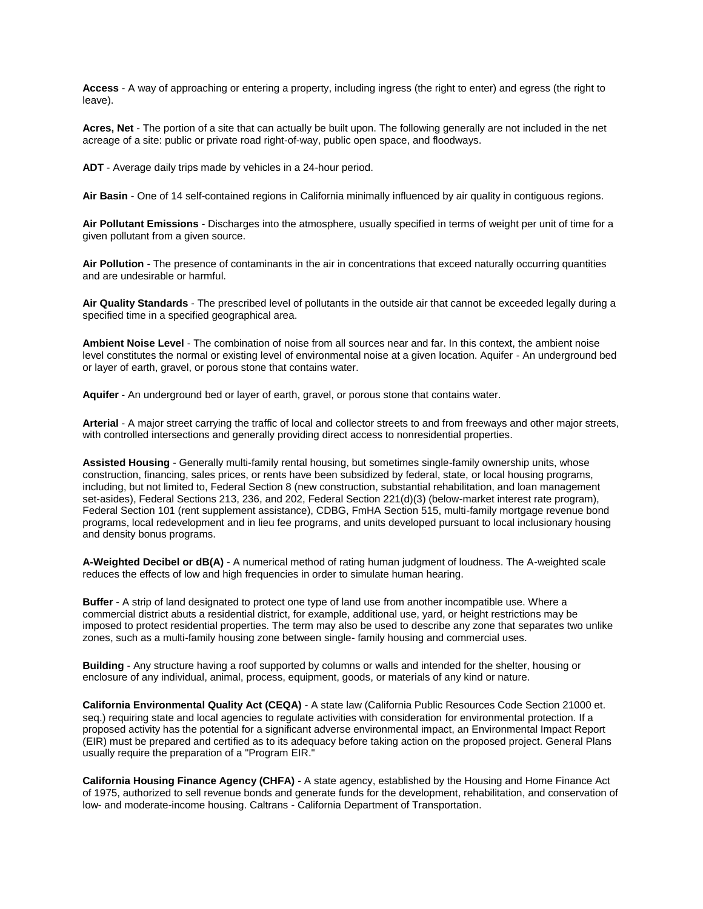**Access** - A way of approaching or entering a property, including ingress (the right to enter) and egress (the right to leave).

**Acres, Net** - The portion of a site that can actually be built upon. The following generally are not included in the net acreage of a site: public or private road right-of-way, public open space, and floodways.

**ADT** - Average daily trips made by vehicles in a 24-hour period.

**Air Basin** - One of 14 self-contained regions in California minimally influenced by air quality in contiguous regions.

**Air Pollutant Emissions** - Discharges into the atmosphere, usually specified in terms of weight per unit of time for a given pollutant from a given source.

**Air Pollution** - The presence of contaminants in the air in concentrations that exceed naturally occurring quantities and are undesirable or harmful.

**Air Quality Standards** - The prescribed level of pollutants in the outside air that cannot be exceeded legally during a specified time in a specified geographical area.

**Ambient Noise Level** - The combination of noise from all sources near and far. In this context, the ambient noise level constitutes the normal or existing level of environmental noise at a given location. Aquifer - An underground bed or layer of earth, gravel, or porous stone that contains water.

**Aquifer** - An underground bed or layer of earth, gravel, or porous stone that contains water.

**Arterial** - A major street carrying the traffic of local and collector streets to and from freeways and other major streets, with controlled intersections and generally providing direct access to nonresidential properties.

**Assisted Housing** - Generally multi-family rental housing, but sometimes single-family ownership units, whose construction, financing, sales prices, or rents have been subsidized by federal, state, or local housing programs, including, but not limited to, Federal Section 8 (new construction, substantial rehabilitation, and loan management set-asides), Federal Sections 213, 236, and 202, Federal Section 221(d)(3) (below-market interest rate program), Federal Section 101 (rent supplement assistance), CDBG, FmHA Section 515, multi-family mortgage revenue bond programs, local redevelopment and in lieu fee programs, and units developed pursuant to local inclusionary housing and density bonus programs.

**A-Weighted Decibel or dB(A)** - A numerical method of rating human judgment of loudness. The A-weighted scale reduces the effects of low and high frequencies in order to simulate human hearing.

**Buffer** - A strip of land designated to protect one type of land use from another incompatible use. Where a commercial district abuts a residential district, for example, additional use, yard, or height restrictions may be imposed to protect residential properties. The term may also be used to describe any zone that separates two unlike zones, such as a multi-family housing zone between single- family housing and commercial uses.

**Building** - Any structure having a roof supported by columns or walls and intended for the shelter, housing or enclosure of any individual, animal, process, equipment, goods, or materials of any kind or nature.

**California Environmental Quality Act (CEQA)** - A state law (California Public Resources Code Section 21000 et. seq.) requiring state and local agencies to regulate activities with consideration for environmental protection. If a proposed activity has the potential for a significant adverse environmental impact, an Environmental Impact Report (EIR) must be prepared and certified as to its adequacy before taking action on the proposed project. General Plans usually require the preparation of a "Program EIR."

**California Housing Finance Agency (CHFA)** - A state agency, established by the Housing and Home Finance Act of 1975, authorized to sell revenue bonds and generate funds for the development, rehabilitation, and conservation of low- and moderate-income housing. Caltrans - California Department of Transportation.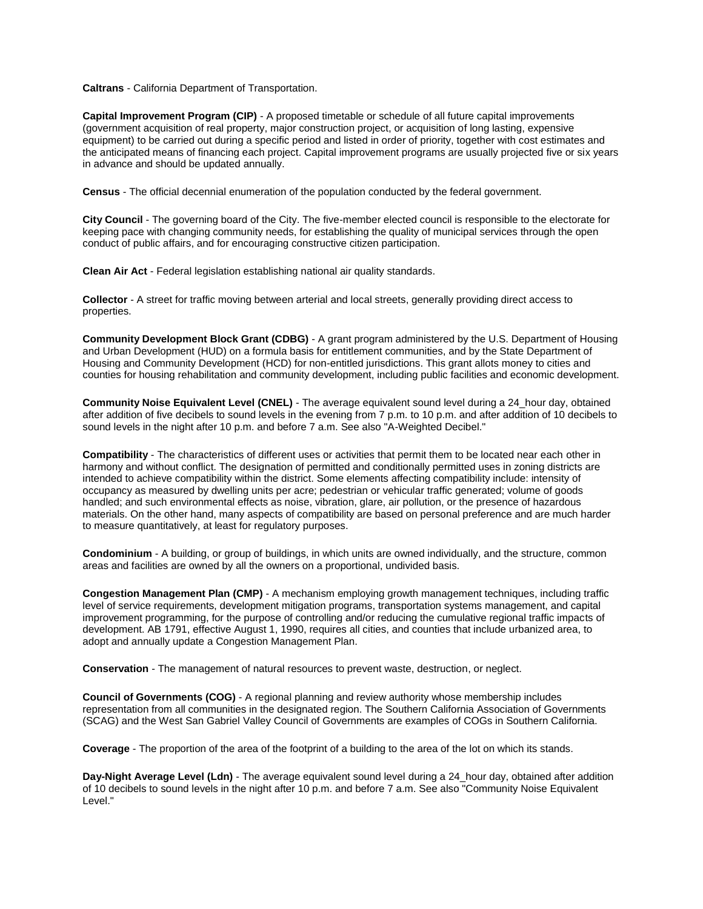**Caltrans** - California Department of Transportation.

**Capital Improvement Program (CIP)** - A proposed timetable or schedule of all future capital improvements (government acquisition of real property, major construction project, or acquisition of long lasting, expensive equipment) to be carried out during a specific period and listed in order of priority, together with cost estimates and the anticipated means of financing each project. Capital improvement programs are usually projected five or six years in advance and should be updated annually.

**Census** - The official decennial enumeration of the population conducted by the federal government.

**City Council** - The governing board of the City. The five-member elected council is responsible to the electorate for keeping pace with changing community needs, for establishing the quality of municipal services through the open conduct of public affairs, and for encouraging constructive citizen participation.

**Clean Air Act** - Federal legislation establishing national air quality standards.

**Collector** - A street for traffic moving between arterial and local streets, generally providing direct access to properties.

**Community Development Block Grant (CDBG)** - A grant program administered by the U.S. Department of Housing and Urban Development (HUD) on a formula basis for entitlement communities, and by the State Department of Housing and Community Development (HCD) for non-entitled jurisdictions. This grant allots money to cities and counties for housing rehabilitation and community development, including public facilities and economic development.

**Community Noise Equivalent Level (CNEL)** - The average equivalent sound level during a 24\_hour day, obtained after addition of five decibels to sound levels in the evening from 7 p.m. to 10 p.m. and after addition of 10 decibels to sound levels in the night after 10 p.m. and before 7 a.m. See also "A-Weighted Decibel."

**Compatibility** - The characteristics of different uses or activities that permit them to be located near each other in harmony and without conflict. The designation of permitted and conditionally permitted uses in zoning districts are intended to achieve compatibility within the district. Some elements affecting compatibility include: intensity of occupancy as measured by dwelling units per acre; pedestrian or vehicular traffic generated; volume of goods handled; and such environmental effects as noise, vibration, glare, air pollution, or the presence of hazardous materials. On the other hand, many aspects of compatibility are based on personal preference and are much harder to measure quantitatively, at least for regulatory purposes.

**Condominium** - A building, or group of buildings, in which units are owned individually, and the structure, common areas and facilities are owned by all the owners on a proportional, undivided basis.

**Congestion Management Plan (CMP)** - A mechanism employing growth management techniques, including traffic level of service requirements, development mitigation programs, transportation systems management, and capital improvement programming, for the purpose of controlling and/or reducing the cumulative regional traffic impacts of development. AB 1791, effective August 1, 1990, requires all cities, and counties that include urbanized area, to adopt and annually update a Congestion Management Plan.

**Conservation** - The management of natural resources to prevent waste, destruction, or neglect.

**Council of Governments (COG)** - A regional planning and review authority whose membership includes representation from all communities in the designated region. The Southern California Association of Governments (SCAG) and the West San Gabriel Valley Council of Governments are examples of COGs in Southern California.

**Coverage** - The proportion of the area of the footprint of a building to the area of the lot on which its stands.

**Day-Night Average Level (Ldn)** - The average equivalent sound level during a 24\_hour day, obtained after addition of 10 decibels to sound levels in the night after 10 p.m. and before 7 a.m. See also "Community Noise Equivalent Level."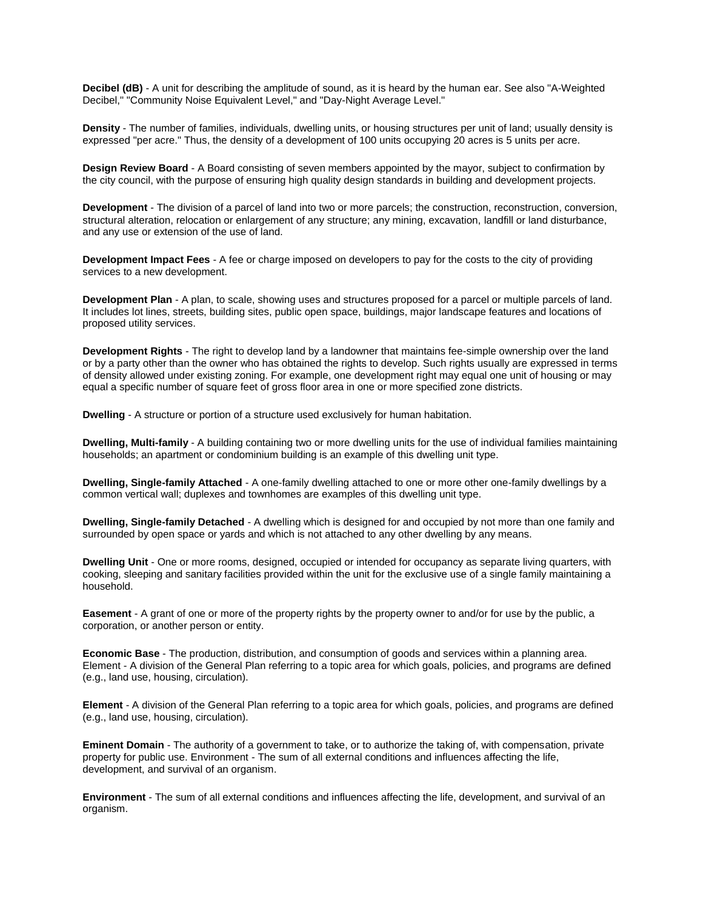**Decibel (dB)** - A unit for describing the amplitude of sound, as it is heard by the human ear. See also "A-Weighted Decibel," "Community Noise Equivalent Level," and "Day-Night Average Level."

**Density** - The number of families, individuals, dwelling units, or housing structures per unit of land; usually density is expressed "per acre." Thus, the density of a development of 100 units occupying 20 acres is 5 units per acre.

**Design Review Board** - A Board consisting of seven members appointed by the mayor, subject to confirmation by the city council, with the purpose of ensuring high quality design standards in building and development projects.

**Development** - The division of a parcel of land into two or more parcels; the construction, reconstruction, conversion, structural alteration, relocation or enlargement of any structure; any mining, excavation, landfill or land disturbance, and any use or extension of the use of land.

**Development Impact Fees** - A fee or charge imposed on developers to pay for the costs to the city of providing services to a new development.

**Development Plan** - A plan, to scale, showing uses and structures proposed for a parcel or multiple parcels of land. It includes lot lines, streets, building sites, public open space, buildings, major landscape features and locations of proposed utility services.

**Development Rights** - The right to develop land by a landowner that maintains fee-simple ownership over the land or by a party other than the owner who has obtained the rights to develop. Such rights usually are expressed in terms of density allowed under existing zoning. For example, one development right may equal one unit of housing or may equal a specific number of square feet of gross floor area in one or more specified zone districts.

**Dwelling** - A structure or portion of a structure used exclusively for human habitation.

**Dwelling, Multi-family** - A building containing two or more dwelling units for the use of individual families maintaining households; an apartment or condominium building is an example of this dwelling unit type.

**Dwelling, Single-family Attached** - A one-family dwelling attached to one or more other one-family dwellings by a common vertical wall; duplexes and townhomes are examples of this dwelling unit type.

**Dwelling, Single-family Detached** - A dwelling which is designed for and occupied by not more than one family and surrounded by open space or yards and which is not attached to any other dwelling by any means.

**Dwelling Unit** - One or more rooms, designed, occupied or intended for occupancy as separate living quarters, with cooking, sleeping and sanitary facilities provided within the unit for the exclusive use of a single family maintaining a household.

**Easement** - A grant of one or more of the property rights by the property owner to and/or for use by the public, a corporation, or another person or entity.

**Economic Base** - The production, distribution, and consumption of goods and services within a planning area. Element - A division of the General Plan referring to a topic area for which goals, policies, and programs are defined (e.g., land use, housing, circulation).

**Element** - A division of the General Plan referring to a topic area for which goals, policies, and programs are defined (e.g., land use, housing, circulation).

**Eminent Domain** - The authority of a government to take, or to authorize the taking of, with compensation, private property for public use. Environment - The sum of all external conditions and influences affecting the life, development, and survival of an organism.

**Environment** - The sum of all external conditions and influences affecting the life, development, and survival of an organism.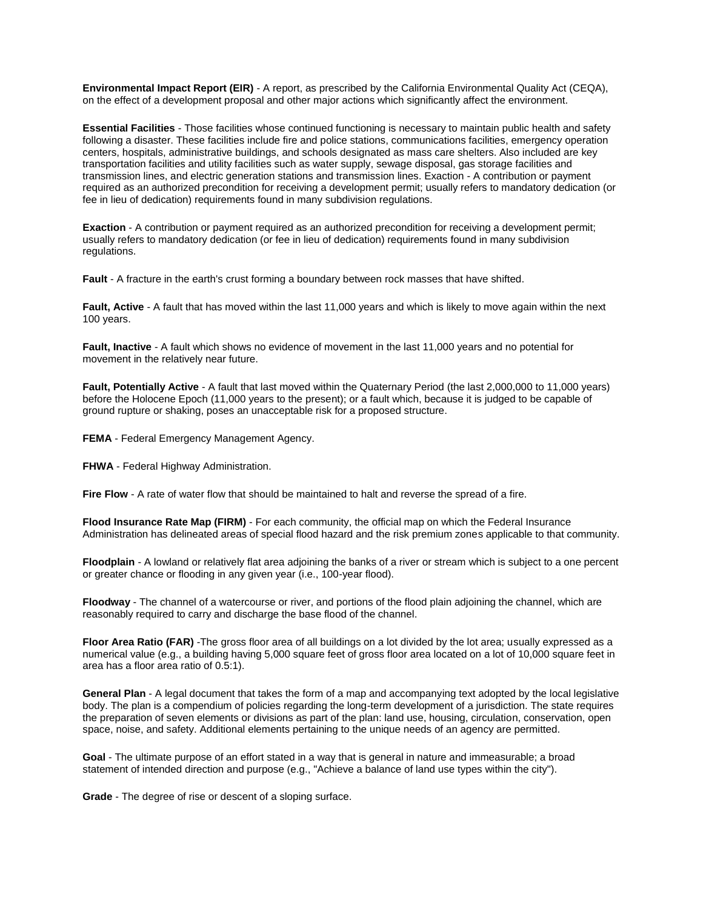**Environmental Impact Report (EIR)** - A report, as prescribed by the California Environmental Quality Act (CEQA), on the effect of a development proposal and other major actions which significantly affect the environment.

**Essential Facilities** - Those facilities whose continued functioning is necessary to maintain public health and safety following a disaster. These facilities include fire and police stations, communications facilities, emergency operation centers, hospitals, administrative buildings, and schools designated as mass care shelters. Also included are key transportation facilities and utility facilities such as water supply, sewage disposal, gas storage facilities and transmission lines, and electric generation stations and transmission lines. Exaction - A contribution or payment required as an authorized precondition for receiving a development permit; usually refers to mandatory dedication (or fee in lieu of dedication) requirements found in many subdivision regulations.

**Exaction** - A contribution or payment required as an authorized precondition for receiving a development permit; usually refers to mandatory dedication (or fee in lieu of dedication) requirements found in many subdivision regulations.

**Fault** - A fracture in the earth's crust forming a boundary between rock masses that have shifted.

**Fault, Active** - A fault that has moved within the last 11,000 years and which is likely to move again within the next 100 years.

**Fault, Inactive** - A fault which shows no evidence of movement in the last 11,000 years and no potential for movement in the relatively near future.

**Fault, Potentially Active** - A fault that last moved within the Quaternary Period (the last 2,000,000 to 11,000 years) before the Holocene Epoch (11,000 years to the present); or a fault which, because it is judged to be capable of ground rupture or shaking, poses an unacceptable risk for a proposed structure.

**FEMA** - Federal Emergency Management Agency.

**FHWA** - Federal Highway Administration.

**Fire Flow** - A rate of water flow that should be maintained to halt and reverse the spread of a fire.

**Flood Insurance Rate Map (FIRM)** - For each community, the official map on which the Federal Insurance Administration has delineated areas of special flood hazard and the risk premium zones applicable to that community.

**Floodplain** - A lowland or relatively flat area adjoining the banks of a river or stream which is subject to a one percent or greater chance or flooding in any given year (i.e., 100-year flood).

**Floodway** - The channel of a watercourse or river, and portions of the flood plain adjoining the channel, which are reasonably required to carry and discharge the base flood of the channel.

**Floor Area Ratio (FAR)** -The gross floor area of all buildings on a lot divided by the lot area; usually expressed as a numerical value (e.g., a building having 5,000 square feet of gross floor area located on a lot of 10,000 square feet in area has a floor area ratio of 0.5:1).

**General Plan** - A legal document that takes the form of a map and accompanying text adopted by the local legislative body. The plan is a compendium of policies regarding the long-term development of a jurisdiction. The state requires the preparation of seven elements or divisions as part of the plan: land use, housing, circulation, conservation, open space, noise, and safety. Additional elements pertaining to the unique needs of an agency are permitted.

**Goal** - The ultimate purpose of an effort stated in a way that is general in nature and immeasurable; a broad statement of intended direction and purpose (e.g., "Achieve a balance of land use types within the city").

**Grade** - The degree of rise or descent of a sloping surface.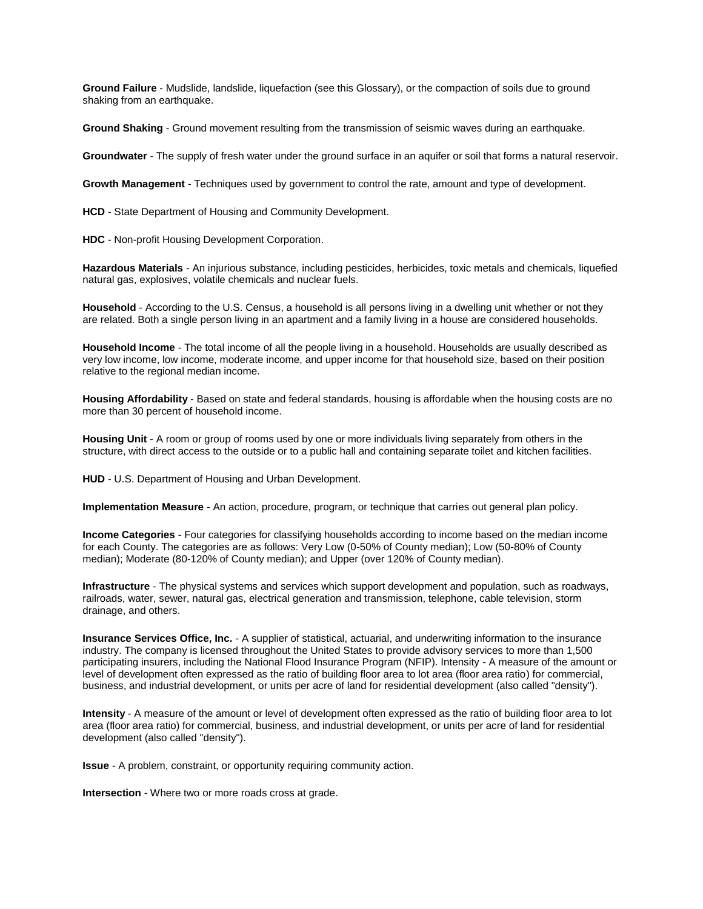**Ground Failure** - Mudslide, landslide, liquefaction (see this Glossary), or the compaction of soils due to ground shaking from an earthquake.

**Ground Shaking** - Ground movement resulting from the transmission of seismic waves during an earthquake.

**Groundwater** - The supply of fresh water under the ground surface in an aquifer or soil that forms a natural reservoir.

**Growth Management** - Techniques used by government to control the rate, amount and type of development.

**HCD** - State Department of Housing and Community Development.

**HDC** - Non-profit Housing Development Corporation.

**Hazardous Materials** - An injurious substance, including pesticides, herbicides, toxic metals and chemicals, liquefied natural gas, explosives, volatile chemicals and nuclear fuels.

**Household** - According to the U.S. Census, a household is all persons living in a dwelling unit whether or not they are related. Both a single person living in an apartment and a family living in a house are considered households.

**Household Income** - The total income of all the people living in a household. Households are usually described as very low income, low income, moderate income, and upper income for that household size, based on their position relative to the regional median income.

**Housing Affordability** - Based on state and federal standards, housing is affordable when the housing costs are no more than 30 percent of household income.

**Housing Unit** - A room or group of rooms used by one or more individuals living separately from others in the structure, with direct access to the outside or to a public hall and containing separate toilet and kitchen facilities.

**HUD** - U.S. Department of Housing and Urban Development.

**Implementation Measure** - An action, procedure, program, or technique that carries out general plan policy.

**Income Categories** - Four categories for classifying households according to income based on the median income for each County. The categories are as follows: Very Low (0-50% of County median); Low (50-80% of County median); Moderate (80-120% of County median); and Upper (over 120% of County median).

**Infrastructure** - The physical systems and services which support development and population, such as roadways, railroads, water, sewer, natural gas, electrical generation and transmission, telephone, cable television, storm drainage, and others.

**Insurance Services Office, Inc.** - A supplier of statistical, actuarial, and underwriting information to the insurance industry. The company is licensed throughout the United States to provide advisory services to more than 1,500 participating insurers, including the National Flood Insurance Program (NFIP). Intensity - A measure of the amount or level of development often expressed as the ratio of building floor area to lot area (floor area ratio) for commercial, business, and industrial development, or units per acre of land for residential development (also called "density").

**Intensity** - A measure of the amount or level of development often expressed as the ratio of building floor area to lot area (floor area ratio) for commercial, business, and industrial development, or units per acre of land for residential development (also called "density").

**Issue** - A problem, constraint, or opportunity requiring community action.

**Intersection** - Where two or more roads cross at grade.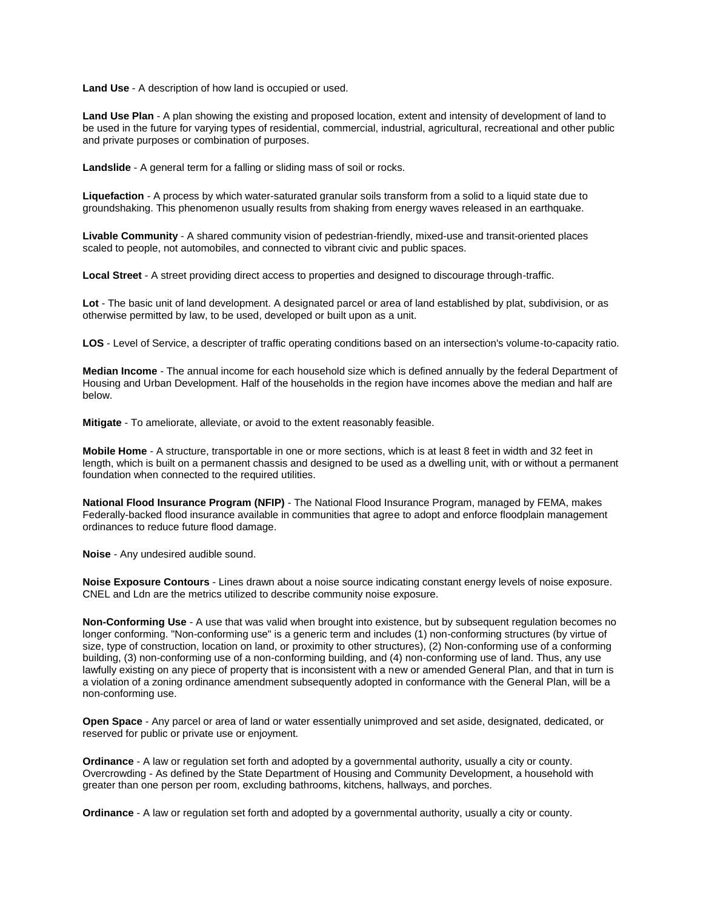**Land Use** - A description of how land is occupied or used.

**Land Use Plan** - A plan showing the existing and proposed location, extent and intensity of development of land to be used in the future for varying types of residential, commercial, industrial, agricultural, recreational and other public and private purposes or combination of purposes.

**Landslide** - A general term for a falling or sliding mass of soil or rocks.

**Liquefaction** - A process by which water-saturated granular soils transform from a solid to a liquid state due to groundshaking. This phenomenon usually results from shaking from energy waves released in an earthquake.

**Livable Community** - A shared community vision of pedestrian-friendly, mixed-use and transit-oriented places scaled to people, not automobiles, and connected to vibrant civic and public spaces.

**Local Street** - A street providing direct access to properties and designed to discourage through-traffic.

**Lot** - The basic unit of land development. A designated parcel or area of land established by plat, subdivision, or as otherwise permitted by law, to be used, developed or built upon as a unit.

**LOS** - Level of Service, a descripter of traffic operating conditions based on an intersection's volume-to-capacity ratio.

**Median Income** - The annual income for each household size which is defined annually by the federal Department of Housing and Urban Development. Half of the households in the region have incomes above the median and half are below.

**Mitigate** - To ameliorate, alleviate, or avoid to the extent reasonably feasible.

**Mobile Home** - A structure, transportable in one or more sections, which is at least 8 feet in width and 32 feet in length, which is built on a permanent chassis and designed to be used as a dwelling unit, with or without a permanent foundation when connected to the required utilities.

**National Flood Insurance Program (NFIP)** - The National Flood Insurance Program, managed by FEMA, makes Federally-backed flood insurance available in communities that agree to adopt and enforce floodplain management ordinances to reduce future flood damage.

**Noise** - Any undesired audible sound.

**Noise Exposure Contours** - Lines drawn about a noise source indicating constant energy levels of noise exposure. CNEL and Ldn are the metrics utilized to describe community noise exposure.

**Non-Conforming Use** - A use that was valid when brought into existence, but by subsequent regulation becomes no longer conforming. "Non-conforming use" is a generic term and includes (1) non-conforming structures (by virtue of size, type of construction, location on land, or proximity to other structures), (2) Non-conforming use of a conforming building, (3) non-conforming use of a non-conforming building, and (4) non-conforming use of land. Thus, any use lawfully existing on any piece of property that is inconsistent with a new or amended General Plan, and that in turn is a violation of a zoning ordinance amendment subsequently adopted in conformance with the General Plan, will be a non-conforming use.

**Open Space** - Any parcel or area of land or water essentially unimproved and set aside, designated, dedicated, or reserved for public or private use or enjoyment.

**Ordinance** - A law or regulation set forth and adopted by a governmental authority, usually a city or county. Overcrowding - As defined by the State Department of Housing and Community Development, a household with greater than one person per room, excluding bathrooms, kitchens, hallways, and porches.

**Ordinance** - A law or regulation set forth and adopted by a governmental authority, usually a city or county.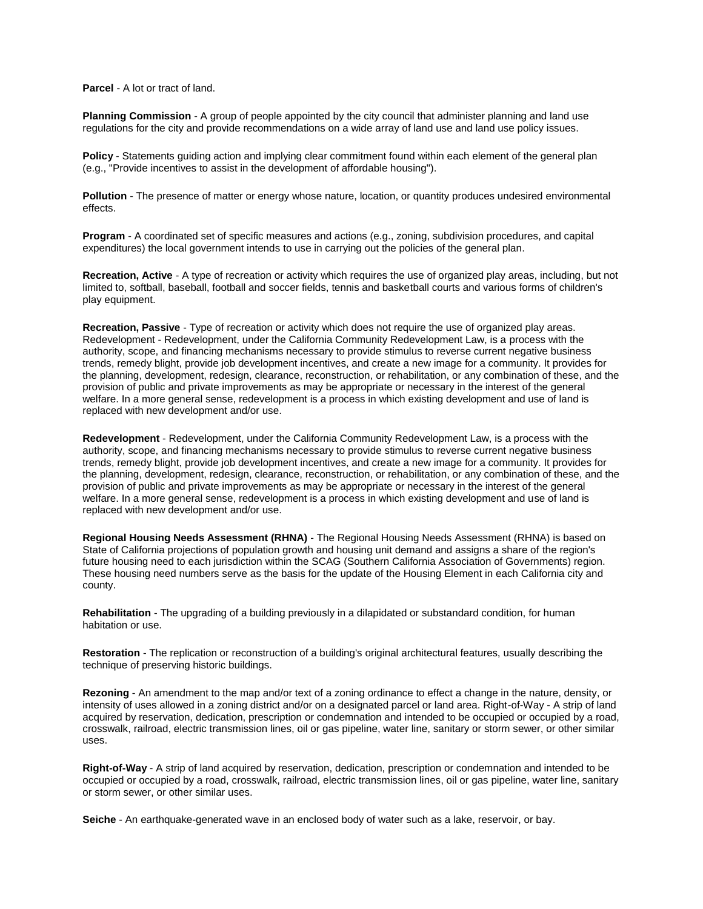**Parcel** - A lot or tract of land.

**Planning Commission** - A group of people appointed by the city council that administer planning and land use regulations for the city and provide recommendations on a wide array of land use and land use policy issues.

**Policy** - Statements guiding action and implying clear commitment found within each element of the general plan (e.g., "Provide incentives to assist in the development of affordable housing").

**Pollution** - The presence of matter or energy whose nature, location, or quantity produces undesired environmental effects.

**Program** - A coordinated set of specific measures and actions (e.g., zoning, subdivision procedures, and capital expenditures) the local government intends to use in carrying out the policies of the general plan.

**Recreation, Active** - A type of recreation or activity which requires the use of organized play areas, including, but not limited to, softball, baseball, football and soccer fields, tennis and basketball courts and various forms of children's play equipment.

**Recreation, Passive** - Type of recreation or activity which does not require the use of organized play areas. Redevelopment - Redevelopment, under the California Community Redevelopment Law, is a process with the authority, scope, and financing mechanisms necessary to provide stimulus to reverse current negative business trends, remedy blight, provide job development incentives, and create a new image for a community. It provides for the planning, development, redesign, clearance, reconstruction, or rehabilitation, or any combination of these, and the provision of public and private improvements as may be appropriate or necessary in the interest of the general welfare. In a more general sense, redevelopment is a process in which existing development and use of land is replaced with new development and/or use.

**Redevelopment** - Redevelopment, under the California Community Redevelopment Law, is a process with the authority, scope, and financing mechanisms necessary to provide stimulus to reverse current negative business trends, remedy blight, provide job development incentives, and create a new image for a community. It provides for the planning, development, redesign, clearance, reconstruction, or rehabilitation, or any combination of these, and the provision of public and private improvements as may be appropriate or necessary in the interest of the general welfare. In a more general sense, redevelopment is a process in which existing development and use of land is replaced with new development and/or use.

**Regional Housing Needs Assessment (RHNA)** - The Regional Housing Needs Assessment (RHNA) is based on State of California projections of population growth and housing unit demand and assigns a share of the region's future housing need to each jurisdiction within the SCAG (Southern California Association of Governments) region. These housing need numbers serve as the basis for the update of the Housing Element in each California city and county.

**Rehabilitation** - The upgrading of a building previously in a dilapidated or substandard condition, for human habitation or use.

**Restoration** - The replication or reconstruction of a building's original architectural features, usually describing the technique of preserving historic buildings.

**Rezoning** - An amendment to the map and/or text of a zoning ordinance to effect a change in the nature, density, or intensity of uses allowed in a zoning district and/or on a designated parcel or land area. Right-of-Way - A strip of land acquired by reservation, dedication, prescription or condemnation and intended to be occupied or occupied by a road, crosswalk, railroad, electric transmission lines, oil or gas pipeline, water line, sanitary or storm sewer, or other similar uses.

**Right-of-Way** - A strip of land acquired by reservation, dedication, prescription or condemnation and intended to be occupied or occupied by a road, crosswalk, railroad, electric transmission lines, oil or gas pipeline, water line, sanitary or storm sewer, or other similar uses.

**Seiche** - An earthquake-generated wave in an enclosed body of water such as a lake, reservoir, or bay.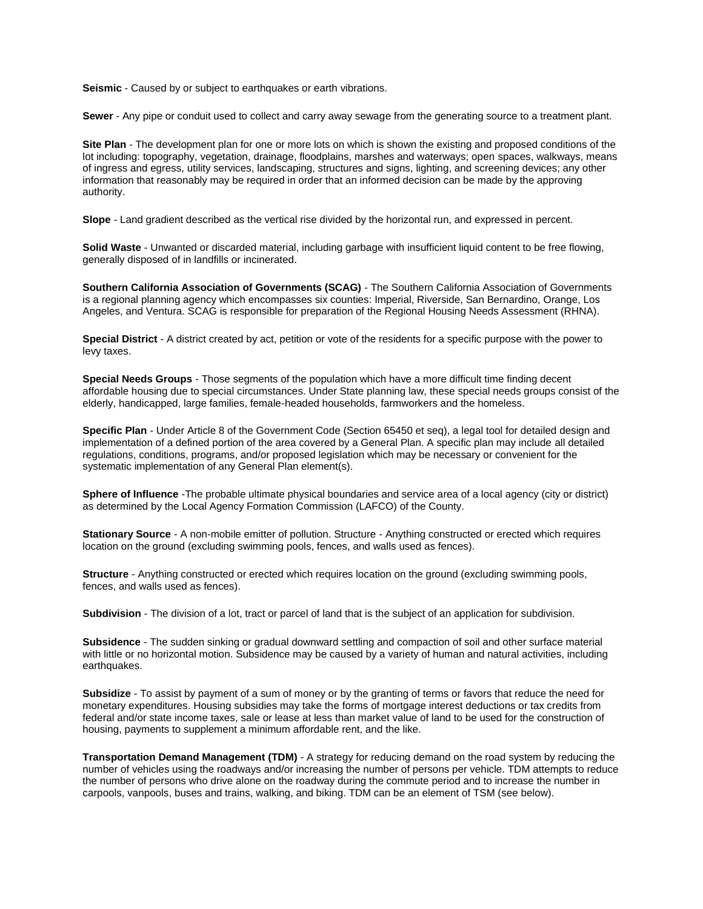**Seismic** - Caused by or subject to earthquakes or earth vibrations.

**Sewer** - Any pipe or conduit used to collect and carry away sewage from the generating source to a treatment plant.

**Site Plan** - The development plan for one or more lots on which is shown the existing and proposed conditions of the lot including: topography, vegetation, drainage, floodplains, marshes and waterways; open spaces, walkways, means of ingress and egress, utility services, landscaping, structures and signs, lighting, and screening devices; any other information that reasonably may be required in order that an informed decision can be made by the approving authority.

**Slope** - Land gradient described as the vertical rise divided by the horizontal run, and expressed in percent.

**Solid Waste** - Unwanted or discarded material, including garbage with insufficient liquid content to be free flowing, generally disposed of in landfills or incinerated.

**Southern California Association of Governments (SCAG)** - The Southern California Association of Governments is a regional planning agency which encompasses six counties: Imperial, Riverside, San Bernardino, Orange, Los Angeles, and Ventura. SCAG is responsible for preparation of the Regional Housing Needs Assessment (RHNA).

**Special District** - A district created by act, petition or vote of the residents for a specific purpose with the power to levy taxes.

**Special Needs Groups** - Those segments of the population which have a more difficult time finding decent affordable housing due to special circumstances. Under State planning law, these special needs groups consist of the elderly, handicapped, large families, female-headed households, farmworkers and the homeless.

**Specific Plan** - Under Article 8 of the Government Code (Section 65450 et seq), a legal tool for detailed design and implementation of a defined portion of the area covered by a General Plan. A specific plan may include all detailed regulations, conditions, programs, and/or proposed legislation which may be necessary or convenient for the systematic implementation of any General Plan element(s).

**Sphere of Influence** -The probable ultimate physical boundaries and service area of a local agency (city or district) as determined by the Local Agency Formation Commission (LAFCO) of the County.

**Stationary Source** - A non-mobile emitter of pollution. Structure - Anything constructed or erected which requires location on the ground (excluding swimming pools, fences, and walls used as fences).

**Structure** - Anything constructed or erected which requires location on the ground (excluding swimming pools, fences, and walls used as fences).

**Subdivision** - The division of a lot, tract or parcel of land that is the subject of an application for subdivision.

**Subsidence** - The sudden sinking or gradual downward settling and compaction of soil and other surface material with little or no horizontal motion. Subsidence may be caused by a variety of human and natural activities, including earthquakes.

**Subsidize** - To assist by payment of a sum of money or by the granting of terms or favors that reduce the need for monetary expenditures. Housing subsidies may take the forms of mortgage interest deductions or tax credits from federal and/or state income taxes, sale or lease at less than market value of land to be used for the construction of housing, payments to supplement a minimum affordable rent, and the like.

**Transportation Demand Management (TDM)** - A strategy for reducing demand on the road system by reducing the number of vehicles using the roadways and/or increasing the number of persons per vehicle. TDM attempts to reduce the number of persons who drive alone on the roadway during the commute period and to increase the number in carpools, vanpools, buses and trains, walking, and biking. TDM can be an element of TSM (see below).